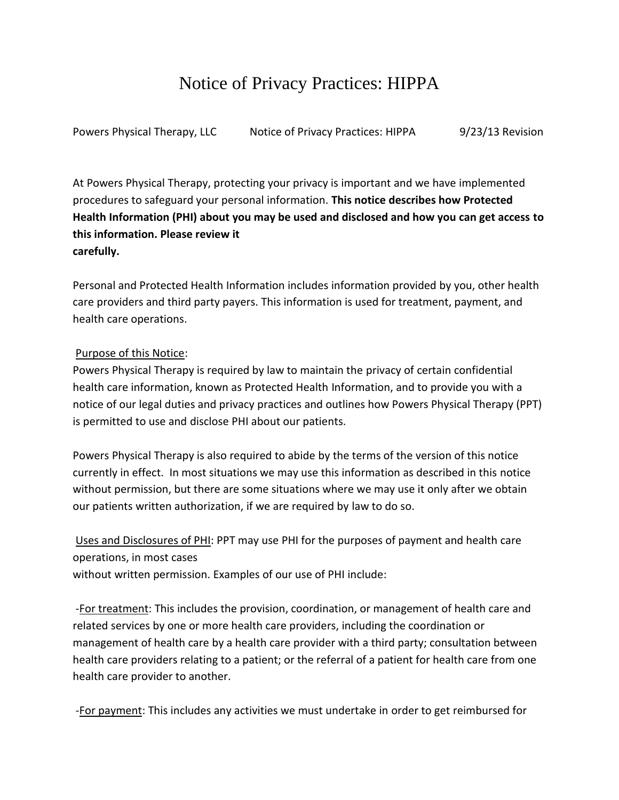## Notice of Privacy Practices: HIPPA

Powers Physical Therapy, LLC Notice of Privacy Practices: HIPPA 9/23/13 Revision

At Powers Physical Therapy, protecting your privacy is important and we have implemented procedures to safeguard your personal information. **This notice describes how Protected Health Information (PHI) about you may be used and disclosed and how you can get access to this information. Please review it carefully.**

Personal and Protected Health Information includes information provided by you, other health care providers and third party payers. This information is used for treatment, payment, and health care operations.

## Purpose of this Notice:

Powers Physical Therapy is required by law to maintain the privacy of certain confidential health care information, known as Protected Health Information, and to provide you with a notice of our legal duties and privacy practices and outlines how Powers Physical Therapy (PPT) is permitted to use and disclose PHI about our patients.

Powers Physical Therapy is also required to abide by the terms of the version of this notice currently in effect. In most situations we may use this information as described in this notice without permission, but there are some situations where we may use it only after we obtain our patients written authorization, if we are required by law to do so.

Uses and Disclosures of PHI: PPT may use PHI for the purposes of payment and health care operations, in most cases

without written permission. Examples of our use of PHI include:

-For treatment: This includes the provision, coordination, or management of health care and related services by one or more health care providers, including the coordination or management of health care by a health care provider with a third party; consultation between health care providers relating to a patient; or the referral of a patient for health care from one health care provider to another.

-For payment: This includes any activities we must undertake in order to get reimbursed for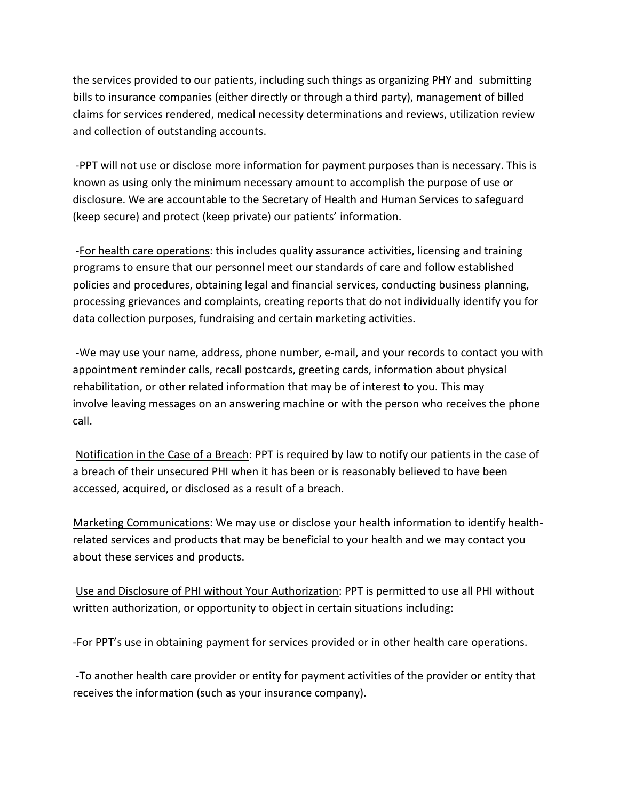the services provided to our patients, including such things as organizing PHY and submitting bills to insurance companies (either directly or through a third party), management of billed claims for services rendered, medical necessity determinations and reviews, utilization review and collection of outstanding accounts.

-PPT will not use or disclose more information for payment purposes than is necessary. This is known as using only the minimum necessary amount to accomplish the purpose of use or disclosure. We are accountable to the Secretary of Health and Human Services to safeguard (keep secure) and protect (keep private) our patients' information.

-For health care operations: this includes quality assurance activities, licensing and training programs to ensure that our personnel meet our standards of care and follow established policies and procedures, obtaining legal and financial services, conducting business planning, processing grievances and complaints, creating reports that do not individually identify you for data collection purposes, fundraising and certain marketing activities.

-We may use your name, address, phone number, e-mail, and your records to contact you with appointment reminder calls, recall postcards, greeting cards, information about physical rehabilitation, or other related information that may be of interest to you. This may involve leaving messages on an answering machine or with the person who receives the phone call.

Notification in the Case of a Breach: PPT is required by law to notify our patients in the case of a breach of their unsecured PHI when it has been or is reasonably believed to have been accessed, acquired, or disclosed as a result of a breach.

Marketing Communications: We may use or disclose your health information to identify healthrelated services and products that may be beneficial to your health and we may contact you about these services and products.

Use and Disclosure of PHI without Your Authorization: PPT is permitted to use all PHI without written authorization, or opportunity to object in certain situations including:

-For PPT's use in obtaining payment for services provided or in other health care operations.

-To another health care provider or entity for payment activities of the provider or entity that receives the information (such as your insurance company).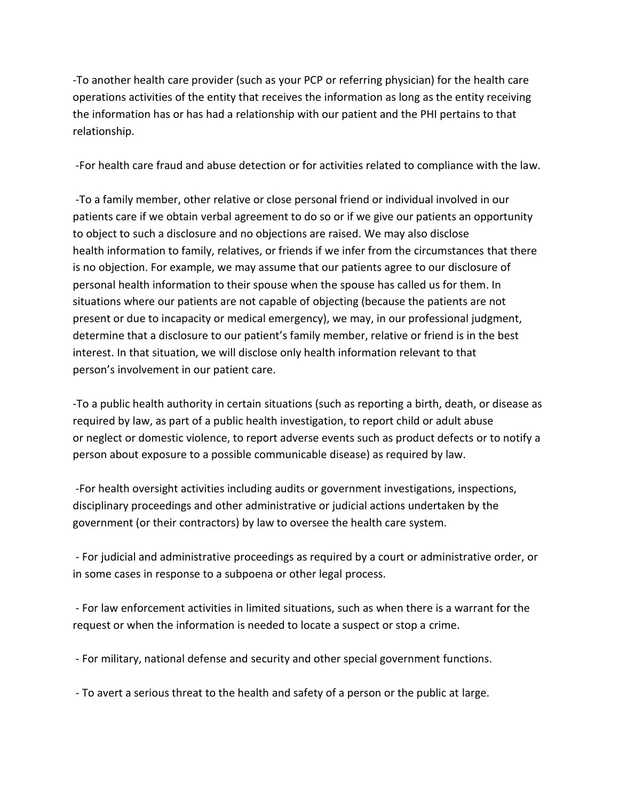-To another health care provider (such as your PCP or referring physician) for the health care operations activities of the entity that receives the information as long as the entity receiving the information has or has had a relationship with our patient and the PHI pertains to that relationship.

-For health care fraud and abuse detection or for activities related to compliance with the law.

-To a family member, other relative or close personal friend or individual involved in our patients care if we obtain verbal agreement to do so or if we give our patients an opportunity to object to such a disclosure and no objections are raised. We may also disclose health information to family, relatives, or friends if we infer from the circumstances that there is no objection. For example, we may assume that our patients agree to our disclosure of personal health information to their spouse when the spouse has called us for them. In situations where our patients are not capable of objecting (because the patients are not present or due to incapacity or medical emergency), we may, in our professional judgment, determine that a disclosure to our patient's family member, relative or friend is in the best interest. In that situation, we will disclose only health information relevant to that person's involvement in our patient care.

-To a public health authority in certain situations (such as reporting a birth, death, or disease as required by law, as part of a public health investigation, to report child or adult abuse or neglect or domestic violence, to report adverse events such as product defects or to notify a person about exposure to a possible communicable disease) as required by law.

-For health oversight activities including audits or government investigations, inspections, disciplinary proceedings and other administrative or judicial actions undertaken by the government (or their contractors) by law to oversee the health care system.

- For judicial and administrative proceedings as required by a court or administrative order, or in some cases in response to a subpoena or other legal process.

- For law enforcement activities in limited situations, such as when there is a warrant for the request or when the information is needed to locate a suspect or stop a crime.

- For military, national defense and security and other special government functions.

- To avert a serious threat to the health and safety of a person or the public at large.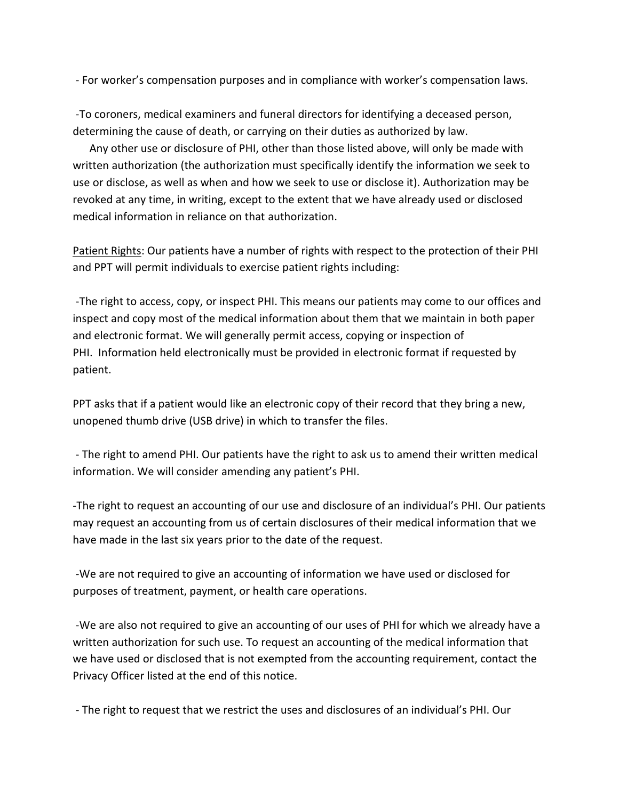- For worker's compensation purposes and in compliance with worker's compensation laws.

-To coroners, medical examiners and funeral directors for identifying a deceased person, determining the cause of death, or carrying on their duties as authorized by law.

Any other use or disclosure of PHI, other than those listed above, will only be made with written authorization (the authorization must specifically identify the information we seek to use or disclose, as well as when and how we seek to use or disclose it). Authorization may be revoked at any time, in writing, except to the extent that we have already used or disclosed medical information in reliance on that authorization.

Patient Rights: Our patients have a number of rights with respect to the protection of their PHI and PPT will permit individuals to exercise patient rights including:

-The right to access, copy, or inspect PHI. This means our patients may come to our offices and inspect and copy most of the medical information about them that we maintain in both paper and electronic format. We will generally permit access, copying or inspection of PHI. Information held electronically must be provided in electronic format if requested by patient.

PPT asks that if a patient would like an electronic copy of their record that they bring a new, unopened thumb drive (USB drive) in which to transfer the files.

- The right to amend PHI. Our patients have the right to ask us to amend their written medical information. We will consider amending any patient's PHI.

-The right to request an accounting of our use and disclosure of an individual's PHI. Our patients may request an accounting from us of certain disclosures of their medical information that we have made in the last six years prior to the date of the request.

-We are not required to give an accounting of information we have used or disclosed for purposes of treatment, payment, or health care operations.

-We are also not required to give an accounting of our uses of PHI for which we already have a written authorization for such use. To request an accounting of the medical information that we have used or disclosed that is not exempted from the accounting requirement, contact the Privacy Officer listed at the end of this notice.

- The right to request that we restrict the uses and disclosures of an individual's PHI. Our